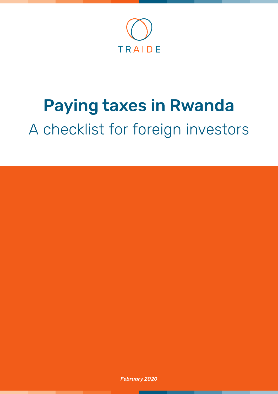

# Paying taxes in Rwanda A checklist for foreign investors

*February 2020*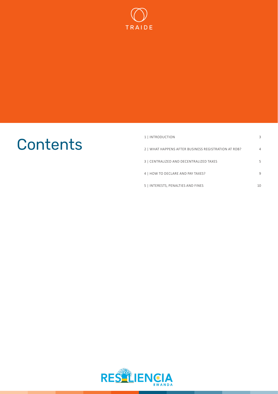

## **Contents**

| 1   INTRODUCTION                                     | 3  |
|------------------------------------------------------|----|
| 2   WHAT HAPPENS AFTER BUSINESS REGISTRATION AT RDB? | 4  |
| 3   CENTRALIZED AND DECENTRALIZED TAXES              | 5  |
| 4   HOW TO DECLARE AND PAY TAXES?                    | 9  |
| 5   INTERESTS, PENALTIES AND FINES                   | 10 |

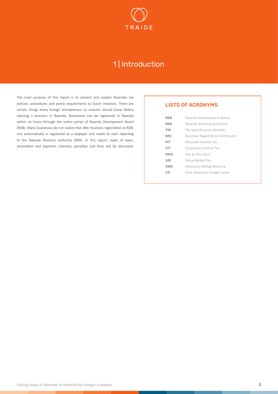

### 1 | Introduction

<span id="page-2-0"></span>The main purpose of this report is to present and explain Rwandan tax policies, procedures and yearly requirements to Dutch investors. There are certain things every foreign entrepreneur or investor should know before opening a business in Rwanda. Businesses can be registered in Rwanda within six hours through the online portal of Rwanda Development Board (RDB). Many businesses do not realize that after business registration at RDB, one automatically is registered as a taxpayer and needs to start reporting to the Rwanda Revenue Authority (RRA). In this report, types of taxes, declaration and payment, interests, penalties and fines will be discussed.

### LISTS OF ACRONYMS

| <b>RDB</b>  | Rwanda Development Board                 |
|-------------|------------------------------------------|
| <b>RRA</b>  | Rwanda Revenue Authority                 |
| <b>TIN</b>  | Tax Identification Number                |
| BRC.        | <b>Business Registration Certificate</b> |
| PIT         | Personal Income Tax                      |
| <b>CIT</b>  | Corporate Income Tax                     |
| <b>PAYF</b> | Pay As You Earn                          |
| <b>VAT</b>  | Value Added Tax                          |
| <b>EBM</b>  | Electronic Billing Machine               |
| CIF         | Cost Insurance Freight value             |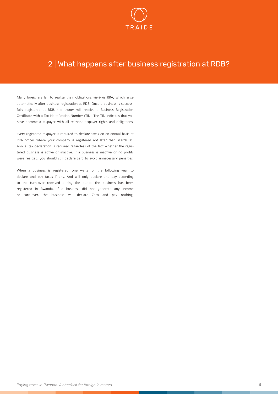

### <span id="page-3-0"></span>2 | What happens after business registration at RDB?

Many foreigners fail to realize their obligations vis-à-vis RRA, which arise automatically after business registration at RDB. Once a business is successfully registered at RDB, the owner will receive a Business Registration Certificate with a Tax Identification Number (TIN). The TIN indicates that you have become a taxpayer with all relevant taxpayer rights and obligations.

Every registered taxpayer is required to declare taxes on an annual basis at RRA offices where your company is registered not later than March 31. Annual tax declaration is required regardless of the fact whether the registered business is active or inactive. If a business is inactive or no profits were realized; you should still declare zero to avoid unnecessary penalties.

When a business is registered, one waits for the following year to declare and pay taxes if any. And will only declare and pay according to the turn-over received during the period the business has been registered in Rwanda. If a business did not generate any income or turn-over, the business will declare Zero and pay nothing.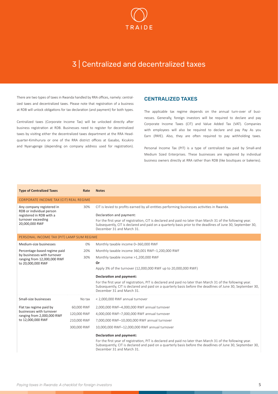

### <span id="page-4-0"></span>3 | Centralized and decentralized taxes

There are two types of taxes in Rwanda handled by RRA offices, namely: centralized taxes and decentralized taxes. Please note that registration of a business at RDB will unlock obligations for tax declaration (and payment) for both types.

Centralized taxes (Corporate Income Tax) will be unlocked directly after business registration at RDB. Businesses need to register for decentralized taxes by visiting either the decentralized taxes department at the RRA Headquarter-Kimihurura or one of the RRA district offices at Gasabo, Kicukiro and Nyarugenge (depending on company address used for registration).

### CENTRALIZED TAXES

The applicable tax regime depends on the annual turn-over of businesses. Generally, foreign investors will be required to declare and pay Corporate Income Taxes (CIT) and Value Added Tax (VAT). Companies with employees will also be required to declare and pay Pay As you Earn (PAYE). Also, they are often required to pay withholding taxes.

Personal Income Tax (PIT) is a type of centralized tax paid by Small-and Medium Sized Enterprises. These businesses are registered by individual business owners directly at RRA rather than RDB (like boutiques or bakeries).

| <b>Type of Centralized Taxes</b>                                                             | Rate        | <b>Notes</b>                                                                                                                                                                                                                                           |
|----------------------------------------------------------------------------------------------|-------------|--------------------------------------------------------------------------------------------------------------------------------------------------------------------------------------------------------------------------------------------------------|
| CORPORATE INCOME TAX (CIT) REAL REGIME                                                       |             |                                                                                                                                                                                                                                                        |
| Any company registered in                                                                    | 30%         | CIT is levied to profits earned by all entities performing businesses activities in Rwanda.                                                                                                                                                            |
| RDB or individual person<br>registered in RDB with a<br>turnover exceeding<br>20,000,000 RWF |             | Declaration and payment:<br>For the first year of registration, CIT is declared and paid no later than March 31 of the following year.<br>Subsequently, CIT is declared and paid on a quarterly basis prior to the deadlines of June 30, September 30, |
|                                                                                              |             | December 31 and March 31.                                                                                                                                                                                                                              |
| PERSONAL INCOME TAX (PIT) LAMP SUM REGIME                                                    |             |                                                                                                                                                                                                                                                        |
| Medium-size businesses                                                                       | 0%          | Monthly taxable income 0-360,000 RWF                                                                                                                                                                                                                   |
| Percentage-based regime paid                                                                 | 20%         | Monthly taxable income 360,001 RWF-1,200,000 RWF                                                                                                                                                                                                       |
| by businesses with turnover<br>ranging from 12,000,000 RWF                                   | 30%         | Monthly taxable income >1,200,000 RWF                                                                                                                                                                                                                  |
| to 20,000,000 RWF                                                                            |             | Or                                                                                                                                                                                                                                                     |
|                                                                                              |             | Apply 3% of the turnover (12,000,000 RWF up to 20,000,000 RWF)                                                                                                                                                                                         |
|                                                                                              |             | <b>Declaration and payment:</b>                                                                                                                                                                                                                        |
|                                                                                              |             | For the first year of registration, PIT is declared and paid no later than March 31 of the following year.<br>Subsequently, CIT is declared and paid on a quarterly basis before the deadlines of June 30, September 30,<br>December 31 and March 31.  |
| Small-size businesses                                                                        | No tax      | < 2,000,000 RWF annual turnover                                                                                                                                                                                                                        |
| Flat tax regime paid by                                                                      | 60,000 RWF  | 2,000,000 RWF-4,000,000 RWF annual turnover                                                                                                                                                                                                            |
| businesses with turnover<br>ranging from 2,000,000 RWF                                       | 120,000 RWF | 4,000,000 RWF-7,000,000 RWF annual turnover                                                                                                                                                                                                            |
| to 12,000,000 RWF                                                                            | 210,000 RWF | 7,000,000 RWF-10,000,000 RWF annual turnover                                                                                                                                                                                                           |
|                                                                                              | 300,000 RWF | 10,000,000 RWF-12,000,000 RWF annual turnover                                                                                                                                                                                                          |
|                                                                                              |             | Declaration and payment:                                                                                                                                                                                                                               |

For the first year of registration, PIT is declared and paid no later than March 31 of the following year. Subsequently, CIT is declared and paid on a quarterly basis before the deadlines of June 30, September 30, December 31 and March 31.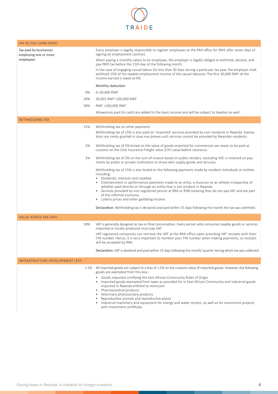

| PAY AS YOU EARN (PAYE)                                       |                                                                                                                                                                                                                                                                                                                                                                                                                                                                                                                                     |
|--------------------------------------------------------------|-------------------------------------------------------------------------------------------------------------------------------------------------------------------------------------------------------------------------------------------------------------------------------------------------------------------------------------------------------------------------------------------------------------------------------------------------------------------------------------------------------------------------------------|
| Tax paid by businesses<br>employing one or more<br>employees | Every employer is legally responsible to register employees at the RRA office for PAYE after seven days of<br>signing an employment contract.<br>When paying a monthly salary to an employee, the employer is legally obliged to withhold, declare, and<br>pay PAYE tax before the 15th day of the following month.                                                                                                                                                                                                                 |
|                                                              | In the case of engaging casual labour for less than 30 days during a particular tax year, the employer shall<br>withhold 15% of the taxable employment income of the casual labourer. The first 30,000 RWF of the<br>income earned is taxed at 0%.                                                                                                                                                                                                                                                                                  |
|                                                              | Monthly deduction                                                                                                                                                                                                                                                                                                                                                                                                                                                                                                                   |
| 0%                                                           | 0-30,000 RWF                                                                                                                                                                                                                                                                                                                                                                                                                                                                                                                        |
| 20%                                                          | 30,001 RWF-100,000 RWF                                                                                                                                                                                                                                                                                                                                                                                                                                                                                                              |
| 30%                                                          | RWF >100,000 RWF                                                                                                                                                                                                                                                                                                                                                                                                                                                                                                                    |
|                                                              | Allowances paid (in cash) are added to the basic income and will be subject to taxation as well.                                                                                                                                                                                                                                                                                                                                                                                                                                    |
| <b>WITHHOLDING TAX</b>                                       |                                                                                                                                                                                                                                                                                                                                                                                                                                                                                                                                     |
| 15%                                                          | Withholding tax on other payments                                                                                                                                                                                                                                                                                                                                                                                                                                                                                                   |
|                                                              | Withholding tax of 15% is also paid on 'imported' services provided by non-residents in Rwanda. Exemp-<br>tions are rarely granted in case one proves such services cannot be provided by Rwandan residents.                                                                                                                                                                                                                                                                                                                        |
| 5%                                                           | Withholding tax of 5% levied on the value of goods imported for commercial use needs to be paid at<br>customs on the Cost Insurance Freight value (CIF) value before clearance.                                                                                                                                                                                                                                                                                                                                                     |
| 3%                                                           | Withholding tax of 3% on the sum of invoice based on public tenders, excluding VAT, is retained on pay-<br>ments by public or private institutions to those who supply goods and services.                                                                                                                                                                                                                                                                                                                                          |
|                                                              | Withholding tax of 15% is also levied on the following payments made by resident individuals or entities<br>including:<br>• Dividends, interests and royalties<br>Entertainment or performance payments made to an artist, a musician or an athlete irrespective of<br>whether paid directly or through an entity that is not resident in Rwanda.<br>• Services provided by non-registered person at RRA or RDB meaning they do not pay VAT and are part<br>of the informal economy.<br>• Lottery prices and other gambling income. |
|                                                              | Declaration: Withholding tax is declared and paid within 15 days following the month the tax was withheld.                                                                                                                                                                                                                                                                                                                                                                                                                          |
| VALUE ADDED TAX (VAT)                                        |                                                                                                                                                                                                                                                                                                                                                                                                                                                                                                                                     |
| 18%                                                          | VAT is generally designed as tax on final consumption. Every person who consumes taxable goods or services<br>imported or locally produced must pay VAT.                                                                                                                                                                                                                                                                                                                                                                            |
|                                                              | VAT-registered companies can retrieve the VAT at the RRA office upon providing VAT receipts with their<br>TIN number. Hence, it is very important to mention your TIN number when making payments, so receipts<br>will be accepted by RRA.                                                                                                                                                                                                                                                                                          |
|                                                              | Declaration: VAT is declared and paid within 15 days following the month/ quarter during which tax was collected.                                                                                                                                                                                                                                                                                                                                                                                                                   |
| <b>INFRASTRUCTURE DEVELOPMENT LEVY</b>                       |                                                                                                                                                                                                                                                                                                                                                                                                                                                                                                                                     |
|                                                              | 1.5% All imported goods are subject to a levy of 1.5% on the customs value of imported goods. However, the following<br>goods are exempted from this levy:<br>Goods imported certifying the East African Community Rules of Origin<br>$\bullet$<br>Imported goods exempted from taxes as provided for in East African Community and industrial goods<br>imported in Rwanda entitled to remission<br>Pharmaceutical products<br>• Veterinary phytosanitary products                                                                  |

- 
- Reproductive animals and reproductive plants
- Industrial machinery and equipment for energy and water sectors, as well as for investment projects with investment certificate.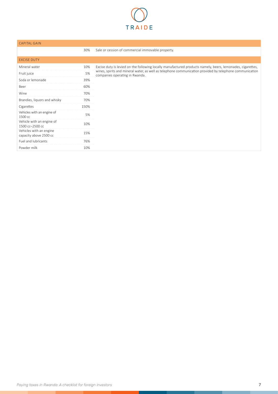

### CAPITAL GAIN

|                                                   | 30%  | Sale or cession of commercial immovable property.                                                                                          |
|---------------------------------------------------|------|--------------------------------------------------------------------------------------------------------------------------------------------|
| <b>EXCISE DUTY</b>                                |      |                                                                                                                                            |
| Mineral water                                     | 10%  | Excise duty is levied on the following locally manufactured products namely, beers, lemonades, cigarettes,                                 |
| Fruit juice                                       | 5%   | wines, spirits and mineral water, as well as telephone communication provided by telephone communication<br>companies operating in Rwanda. |
| Soda or lemonade                                  | 39%  |                                                                                                                                            |
| Beer                                              | 60%  |                                                                                                                                            |
| Wine                                              | 70%  |                                                                                                                                            |
| Brandies, liquors and whisky                      | 70%  |                                                                                                                                            |
| Cigarettes                                        | 150% |                                                                                                                                            |
| Vehicles with an engine of<br>1500 cc             | 5%   |                                                                                                                                            |
| Vehicle with an engine of<br>1500 cc-2500 cc      | 10%  |                                                                                                                                            |
| Vehicles with an engine<br>capacity above 2500 cc | 15%  |                                                                                                                                            |
| Fuel and lubricants                               | 76%  |                                                                                                                                            |
| Powder milk                                       | 10%  |                                                                                                                                            |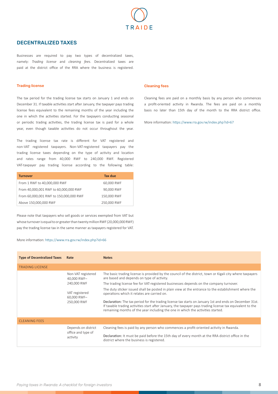

### DECENTRALIZED TAXES

Businesses are required to pay two types of decentralized taxes, namely: *Trading license* and *cleaning fees*. Decentralized taxes are paid at the district office of the RRA where the business is registered.

### Trading license

The tax period for the trading license tax starts on January 1 and ends on December 31. If taxable activities start after January, the taxpayer pays trading license fees equivalent to the remaining months of the year including the one in which the activities started. For the taxpayers conducting seasonal or periodic trading activities, the trading license tax is paid for a whole year, even though taxable activities do not occur throughout the year.

The trading license tax rate is different for VAT registered and non-VAT registered taxpayers. Non-VAT-registered taxpayers pay the trading license taxes depending on the type of activity and location and rates range from 40,000 RWF to 240,000 RWF. Registered VAT-taxpayer pay trading license according to the following table:

| <b>Turnover</b>                        | Tax due     |
|----------------------------------------|-------------|
| From 1 RWF to 40,000,000 RWF           | 60,000 RWF  |
| From 40,000,001 RWF to 60,000,000 RWF  | 90,000 RWF  |
| From 60,000,001 RWF to 150,000,000 RWF | 150,000 RWF |
| Above 150,000,000 RWF                  | 250,000 RWF |

Please note that taxpayers who sell goods or services exempted from VAT but whose turnover is equal to or greater than twenty million RWF (20,000,000 RWF) pay the trading license tax in the same manner as taxpayers registered for VAT.

#### More information: <https://www.rra.gov.rw/index.php?id=66>

### Cleaning fees

Cleaning fees are paid on a monthly basis by any person who commences a profit-oriented activity in Rwanda. The fees are paid on a monthly basis no later than 15th day of the month to the RRA district office.

More information: <https://www.rra.gov.rw/index.php?id=67>

| <b>Type of Decentralized Taxes</b> | Rate                              | <b>Notes</b>                                                                                                                                                                                                                                                                                              |
|------------------------------------|-----------------------------------|-----------------------------------------------------------------------------------------------------------------------------------------------------------------------------------------------------------------------------------------------------------------------------------------------------------|
| <b>TRADING LICENSE</b>             |                                   |                                                                                                                                                                                                                                                                                                           |
|                                    | Non-VAT registered<br>40,000 RWF- | The basic trading license is provided by the council of the district, town or Kigali city where taxpayers<br>are based and depends on type of activity.                                                                                                                                                   |
|                                    | 240,000 RWF                       | The trading license fee for VAT-registered businesses depends on the company turnover.                                                                                                                                                                                                                    |
|                                    | VAT registered<br>60,000 RWF-     | The duty sticker issued shall be posted in plain view at the entrance to the establishment where the<br>operations which it relates are carried on.                                                                                                                                                       |
|                                    | 250,000 RWF                       | Declaration: The tax period for the trading license tax starts on January 1st and ends on December 31st.<br>If taxable trading activities start after January, the taxpayer pays trading license tax equivalent to the<br>remaining months of the year including the one in which the activities started. |
| <b>CLEANING FEES</b>               |                                   |                                                                                                                                                                                                                                                                                                           |
|                                    | Depends on district               | Cleaning fees is paid by any person who commences a profit-oriented activity in Rwanda.                                                                                                                                                                                                                   |
|                                    | office and type of<br>activity    | Declaration: It must be paid before the 15th day of every month at the RRA district office in the<br>district where the business is registered.                                                                                                                                                           |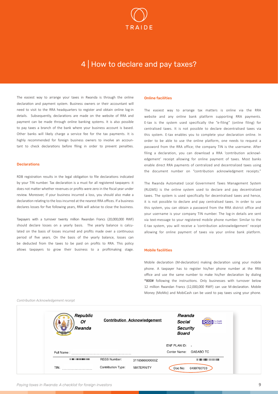

### 4 | How to declare and pay taxes?

<span id="page-8-0"></span>The easiest way to arrange your taxes in Rwanda is through the online declaration and payment system. Business owners or their accountant will need to visit to the RRA headquarters to register and obtain online log-in details. Subsequently, declarations are made on the website of RRA and payment can be made through online banking systems. It is also possible to pay taxes a branch of the bank where your business account is based. Other banks will likely charge a service fee for the tax payments. It is highly recommended for foreign business owners to involve an accountant to check declarations before filing in order to prevent penalties.

#### Declarations

RDB registration results in the legal obligation to file declarations indicated by your TIN number. Tax declaration is a must for all registered taxpayers: it does not matter whether revenues or profits were zero in the fiscal year under review. Moreover, if your business incurred a loss, you should also make a declaration relating to the loss incurred at the nearest RRA offices. If a business declares losses for five following years, RRA will advise to close the business.

Taxpayers with a turnover twenty million Rwandan Francs (20,000,000 RWF) should declare losses on a yearly basis. The yearly balance is calculated on the basis of losses incurred and profits made over a continuous period of five years. On the basis of the yearly balance, losses can be deducted from the taxes to be paid on profits to RRA. This policy allows taxpayers to grow their business to a profitmaking stage.

#### Online facilities

The easiest way to arrange tax matters is online via the RRA website and any online bank platform supporting RRA payments. E-tax is the system used specifically the "e-filing" (online filing) for centralised taxes. It is not possible to declare decentralised taxes via this system. E-tax enables you to complete your declaration online. In order to be able to use the online platform, one needs to request a password from the RRA office; the company TIN is the username. After filing a declaration, you can download a RRA 'contribution acknowledgement' receipt allowing for online payment of taxes. Most banks enable direct RRA payments of centralized and decentralized taxes using the document number on "contribution acknowledgment receipts."

The Rwanda Automated Local Government Taxes Management System (RLGMS) is the online system used to declare and pay decentralized taxes. The system is used specifically for decentralised taxes and hence, it is not possible to declare and pay centralised taxes. In order to use this system, you can obtain a password from the RRA district office and your username is your company TIN number. The log-in details are sent via text-message to your registered mobile phone number. Similar to the E-tax system, you will receive a 'contribution acknowledgement' receipt allowing for online payment of taxes via your online bank platform.

### Mobile facilities

Mobile declaration (M-declaration) making declaration using your mobile phone. A taxpayer has to register his/her phone number at the RRA office and use the same number to make his/her declaration by dialing \*800# following the instructions. Only businesses with turnover below 12 million Rwandan Francs (12,000,000 RWF) can use M-declaration. Mobile Money (MoMo) and MobiCash can be used to pay taxes using your phone.

*Contribution Acknowledgement receipt*

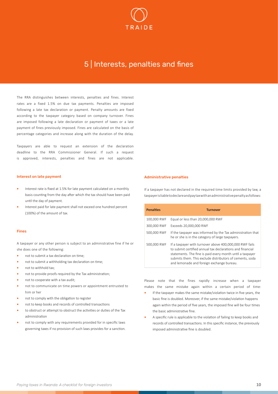

### 5 | Interests, penalties and fines

<span id="page-9-0"></span>The RRA distinguishes between interests, penalties and fines. Interest rates are a fixed 1.5% on due tax payments. Penalties are imposed following a late tax declaration or payment. Penalty amounts are fixed according to the taxpayer category based on company turnover. Fines are imposed following a late declaration or payment of taxes or a late payment of fines previously imposed. Fines are calculated on the basis of percentage categories and increase along with the duration of the delay.

Taxpayers are able to request an extension of the declaration deadline to the RRA Commissioner General. If such a request is approved, interests, penalties and fines are not applicable.

### Interest on late payment

- **•** Interest rate is fixed at 1.5% for late payment calculated on a monthly basis counting from the day after which the tax should have been paid until the day of payment.
- **•** Interest paid for late payment shall not exceed one hundred percent (100%) of the amount of tax.

#### Fines

A taxpayer or any other person is subject to an administrative fine if he or she does one of the following:

- **•** not to submit a tax declaration on time;
- **•** not to submit a withholding tax declaration on time;
- **•** not to withhold tax;
- **•** not to provide proofs required by the Tax administration;
- **•** not to cooperate with a tax audit;
- **•** not to communicate on time powers or appointment entrusted to him or her
- **•** not to comply with the obligation to register
- **•** not to keep books and records of controlled transactions
- **•** to obstruct or attempt to obstruct the activities or duties of the Tax administration
- **•** not to comply with any requirements provided for in specific laws governing taxes if no provision of such laws provides for a sanction.

### Administrative penalties

If a taxpayer has not declared in the required time limits provided by law, a taxpayer is liable to declare and pay tax with an administrative penalty as follows:

| <b>Penalties</b> | <b>Turnover</b>                                                                                                                                                                                                                                                                            |
|------------------|--------------------------------------------------------------------------------------------------------------------------------------------------------------------------------------------------------------------------------------------------------------------------------------------|
| 100,000 RWF      | Equal or less than 20,000,000 RWF                                                                                                                                                                                                                                                          |
| 300,000 RWF      | Exceeds 20.000.000 RWF                                                                                                                                                                                                                                                                     |
| 500,000 RWF      | If the taxpayer was informed by the Tax administration that<br>he or she is in the category of large taxpayers.                                                                                                                                                                            |
| 500,000 RWF      | If a taxpayer with turnover above 400,000,000 RWF fails<br>to submit certified annual tax declarations and financial<br>statements. The fine is paid every month until a taxpayer<br>submits them. This exclude distributors of cements, soda<br>and lemonade and foreign exchange bureau. |

Please note that the fines rapidly increase when a taxpayer makes the same mistake again within a certain period of time:

- **•** If the taxpayer makes the same mistake/violation twice in five years, the basic fine is doubled. Moreover, if the same mistake/violation happens again within the period of five years, the imposed fine will be four times the basic administrative fine.
- **•** A specific rule is applicable to the violation of failing to keep books and records of controlled transactions. In this specific instance, the previously imposed administrative fine is doubled.